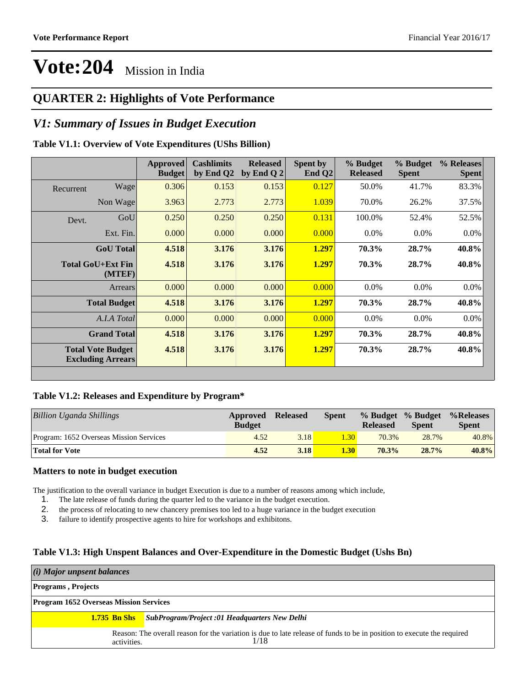### **QUARTER 2: Highlights of Vote Performance**

### *V1: Summary of Issues in Budget Execution*

#### **Table V1.1: Overview of Vote Expenditures (UShs Billion)**

|                                                      |                     | <b>Budget</b> | by End Q2 | <b>Released</b><br>by End Q $2$ | Spent by<br>End $Q2$ | % Budget<br><b>Released</b> | % Budget<br><b>Spent</b> | % Releases<br><b>Spent</b> |
|------------------------------------------------------|---------------------|---------------|-----------|---------------------------------|----------------------|-----------------------------|--------------------------|----------------------------|
| Recurrent                                            | Wage                | 0.306         | 0.153     | 0.153                           | 0.127                | 50.0%                       | 41.7%                    | 83.3%                      |
|                                                      | Non Wage            | 3.963         | 2.773     | 2.773                           | 1.039                | 70.0%                       | 26.2%                    | 37.5%                      |
| Devt.                                                | GoU                 | 0.250         | 0.250     | 0.250                           | 0.131                | 100.0%                      | 52.4%                    | 52.5%                      |
|                                                      | Ext. Fin.           | 0.000         | 0.000     | 0.000                           | 0.000                | $0.0\%$                     | $0.0\%$                  | $0.0\%$                    |
|                                                      | <b>GoU</b> Total    | 4.518         | 3.176     | 3.176                           | 1.297                | 70.3%                       | 28.7%                    | 40.8%                      |
| <b>Total GoU+Ext Fin</b>                             | (MTEF)              | 4.518         | 3.176     | 3.176                           | 1.297                | 70.3%                       | 28.7%                    | 40.8%                      |
|                                                      | Arrears             | 0.000         | 0.000     | 0.000                           | 0.000                | $0.0\%$                     | $0.0\%$                  | $0.0\%$                    |
|                                                      | <b>Total Budget</b> | 4.518         | 3.176     | 3.176                           | 1.297                | 70.3%                       | 28.7%                    | 40.8%                      |
|                                                      | A.I.A Total         | 0.000         | 0.000     | 0.000                           | 0.000                | $0.0\%$                     | $0.0\%$                  | $0.0\%$                    |
|                                                      | <b>Grand Total</b>  | 4.518         | 3.176     | 3.176                           | 1.297                | 70.3%                       | 28.7%                    | 40.8%                      |
| <b>Total Vote Budget</b><br><b>Excluding Arrears</b> |                     | 4.518         | 3.176     | 3.176                           | 1.297                | 70.3%                       | 28.7%                    | 40.8%                      |

#### **Table V1.2: Releases and Expenditure by Program\***

| Billion Uganda Shillings                | Approved<br><b>Budget</b> | <b>Released</b> | Spent             | <b>Released</b> | % Budget % Budget<br><b>Spent</b> | %Releases%<br><b>Spent</b> |
|-----------------------------------------|---------------------------|-----------------|-------------------|-----------------|-----------------------------------|----------------------------|
| Program: 1652 Overseas Mission Services | 4.52                      | 3.18            | .30 <sub>1</sub>  | 70.3%           | 28.7%                             | 40.8%                      |
| <b>Total for Vote</b>                   | 4.52                      | 3.18            | 1.30 <sub>l</sub> | 70.3%           | $28.7\%$                          | $40.8\%$                   |

#### **Matters to note in budget execution**

The justification to the overall variance in budget Execution is due to a number of reasons among which include,

- 1. The late release of funds during the quarter led to the variance in the budget execution.
- 2. the process of relocating to new chancery premises too led to a huge variance in the budget execution
- 3. failure to identify prospective agents to hire for workshops and exhibitons.

#### **Table V1.3: High Unspent Balances and Over-Expenditure in the Domestic Budget (Ushs Bn)**

| (i) Major unpsent balances                    |                                                                                                                                |
|-----------------------------------------------|--------------------------------------------------------------------------------------------------------------------------------|
| <b>Programs</b> , Projects                    |                                                                                                                                |
| <b>Program 1652 Overseas Mission Services</b> |                                                                                                                                |
|                                               | <b>1.735 Bn Shs</b> SubProgram/Project :01 Headquarters New Delhi                                                              |
| activities.                                   | Reason: The overall reason for the variation is due to late release of funds to be in position to execute the required<br>1/18 |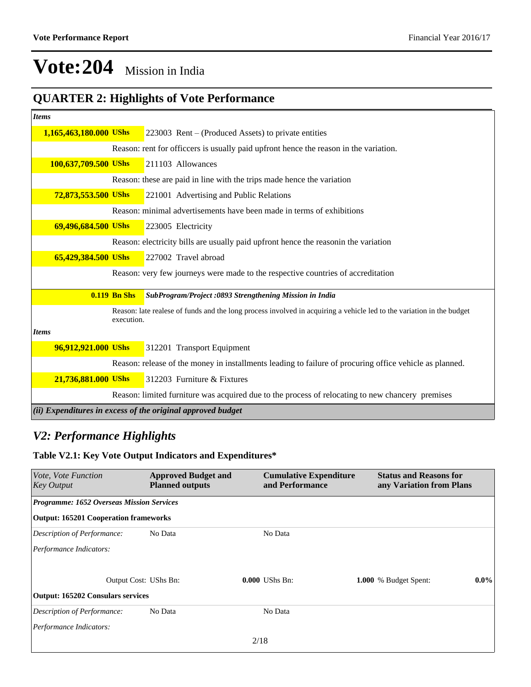### **QUARTER 2: Highlights of Vote Performance**

| <b>Items</b>           |                     |                                                                                                                       |
|------------------------|---------------------|-----------------------------------------------------------------------------------------------------------------------|
| 1,165,463,180.000 UShs |                     | 223003 Rent $-$ (Produced Assets) to private entities                                                                 |
|                        |                     | Reason: rent for officeers is usually paid upfront hence the reason in the variation.                                 |
| 100,637,709.500 UShs   |                     | 211103 Allowances                                                                                                     |
|                        |                     | Reason: these are paid in line with the trips made hence the variation                                                |
| 72,873,553.500 UShs    |                     | 221001 Advertising and Public Relations                                                                               |
|                        |                     | Reason: minimal advertisements have been made in terms of exhibitions                                                 |
| 69,496,684.500 UShs    |                     | 223005 Electricity                                                                                                    |
|                        |                     | Reason: electricity bills are usually paid upfront hence the reason in the variation                                  |
| 65,429,384.500 UShs    |                     | 227002 Travel abroad                                                                                                  |
|                        |                     | Reason: very few journeys were made to the respective countries of accreditation                                      |
|                        | <b>0.119 Bn Shs</b> | SubProgram/Project :0893 Strengthening Mission in India                                                               |
|                        | execution.          | Reason: late realese of funds and the long process involved in acquiring a vehicle led to the variation in the budget |
| <b>Items</b>           |                     |                                                                                                                       |
| 96,912,921.000 UShs    |                     | 312201 Transport Equipment                                                                                            |
|                        |                     | Reason: release of the money in installments leading to failure of procuring office vehicle as planned.               |
| 21,736,881.000 UShs    |                     | 312203 Furniture & Fixtures                                                                                           |
|                        |                     | Reason: limited furniture was acquired due to the process of relocating to new chancery premises                      |
|                        |                     | (ii) Expenditures in excess of the original approved budget                                                           |

### *V2: Performance Highlights*

#### **Table V2.1: Key Vote Output Indicators and Expenditures\***

| <i>Vote, Vote Function</i><br><b>Key Output</b>  | <b>Approved Budget and</b><br><b>Planned outputs</b> | <b>Cumulative Expenditure</b><br>and Performance | <b>Status and Reasons for</b><br>any Variation from Plans |         |
|--------------------------------------------------|------------------------------------------------------|--------------------------------------------------|-----------------------------------------------------------|---------|
| <b>Programme: 1652 Overseas Mission Services</b> |                                                      |                                                  |                                                           |         |
| <b>Output: 165201 Cooperation frameworks</b>     |                                                      |                                                  |                                                           |         |
| Description of Performance:                      | No Data                                              | No Data                                          |                                                           |         |
| Performance Indicators:                          |                                                      |                                                  |                                                           |         |
|                                                  |                                                      |                                                  |                                                           |         |
| Output Cost: UShs Bn:                            |                                                      | $0.000$ UShs Bn:                                 | 1.000 % Budget Spent:                                     | $0.0\%$ |
| <b>Output: 165202 Consulars services</b>         |                                                      |                                                  |                                                           |         |
| Description of Performance:                      | No Data                                              | No Data                                          |                                                           |         |
| Performance Indicators:                          |                                                      |                                                  |                                                           |         |
|                                                  |                                                      | 2/18                                             |                                                           |         |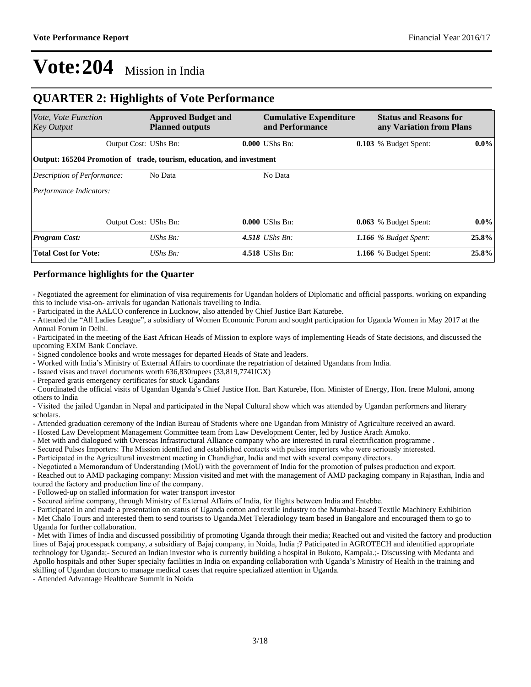### **QUARTER 2: Highlights of Vote Performance**

| Vote, Vote Function<br><b>Key Output</b>                              | <b>Approved Budget and</b><br><b>Planned outputs</b> | <b>Cumulative Expenditure</b><br>and Performance | <b>Status and Reasons for</b><br>any Variation from Plans |         |
|-----------------------------------------------------------------------|------------------------------------------------------|--------------------------------------------------|-----------------------------------------------------------|---------|
| <b>Output Cost: UShs Bn:</b>                                          |                                                      | $0.000$ UShs Bn:                                 | 0.103 % Budget Spent:                                     | $0.0\%$ |
| Output: 165204 Promotion of trade, tourism, education, and investment |                                                      |                                                  |                                                           |         |
| Description of Performance:                                           | No Data                                              | No Data                                          |                                                           |         |
| Performance Indicators:                                               |                                                      |                                                  |                                                           |         |
| Output Cost: UShs Bn:                                                 |                                                      | $0.000$ UShs Bn:                                 | 0.063 % Budget Spent:                                     | $0.0\%$ |
| <b>Program Cost:</b>                                                  | UShs Bn:                                             | 4.518 <i>UShs Bn</i> :                           | 1.166 $%$ Budget Spent:                                   | 25.8%   |
| <b>Total Cost for Vote:</b>                                           | $UShs Bn$ :                                          | 4.518 UShs Bn:                                   | 1.166 % Budget Spent:                                     | 25.8%   |

#### **Performance highlights for the Quarter**

- Negotiated the agreement for elimination of visa requirements for Ugandan holders of Diplomatic and official passports. working on expanding this to include visa-on- arrivals for ugandan Nationals travelling to India.

- Participated in the AALCO conference in Lucknow, also attended by Chief Justice Bart Katurebe.

- Attended the "All Ladies League", a subsidiary of Women Economic Forum and sought participation for Uganda Women in May 2017 at the Annual Forum in Delhi.

- Participated in the meeting of the East African Heads of Mission to explore ways of implementing Heads of State decisions, and discussed the upcoming EXIM Bank Conclave.

- Signed condolence books and wrote messages for departed Heads of State and leaders.

- Worked with India's Ministry of External Affairs to coordinate the repatriation of detained Ugandans from India.

- Issued visas and travel documents worth 636,830rupees (33,819,774UGX)

- Prepared gratis emergency certificates for stuck Ugandans

- Coordinated the official visits of Ugandan Uganda's Chief Justice Hon. Bart Katurebe, Hon. Minister of Energy, Hon. Irene Muloni, among others to India

- Visited the jailed Ugandan in Nepal and participated in the Nepal Cultural show which was attended by Ugandan performers and literary scholars.

- Attended graduation ceremony of the Indian Bureau of Students where one Ugandan from Ministry of Agriculture received an award.

- Hosted Law Development Management Committee team from Law Development Center, led by Justice Arach Amoko.

- Met with and dialogued with Overseas Infrastructural Alliance company who are interested in rural electrification programme .

- Secured Pulses Importers: The Mission identified and established contacts with pulses importers who were seriously interested.

- Participated in the Agricultural investment meeting in Chandighar, India and met with several company directors.

- Negotiated a Memorandum of Understanding (MoU) with the government of India for the promotion of pulses production and export. - Reached out to AMD packaging company: Mission visited and met with the management of AMD packaging company in Rajasthan, India and

toured the factory and production line of the company.

- Followed-up on stalled information for water transport investor

- Secured airline company, through Ministry of External Affairs of India, for flights between India and Entebbe.

- Participated in and made a presentation on status of Uganda cotton and textile industry to the Mumbai-based Textile Machinery Exhibition

- Met Chalo Tours and interested them to send tourists to Uganda.Met Teleradiology team based in Bangalore and encouraged them to go to Uganda for further collaboration.

- Met with Times of India and discussed possibilitiy of promoting Uganda through their media; Reached out and visited the factory and production lines of Bajaj processpack company, a subsidiary of Bajaj company, in Noida, India ;? Paticipated in AGROTECH and identified appropriate technology for Uganda;- Secured an Indian investor who is currently building a hospital in Bukoto, Kampala.;- Discussing with Medanta and Apollo hospitals and other Super specialty facilities in India on expanding collaboration with Uganda's Ministry of Health in the training and skilling of Ugandan doctors to manage medical cases that require specialized attention in Uganda.

- Attended Advantage Healthcare Summit in Noida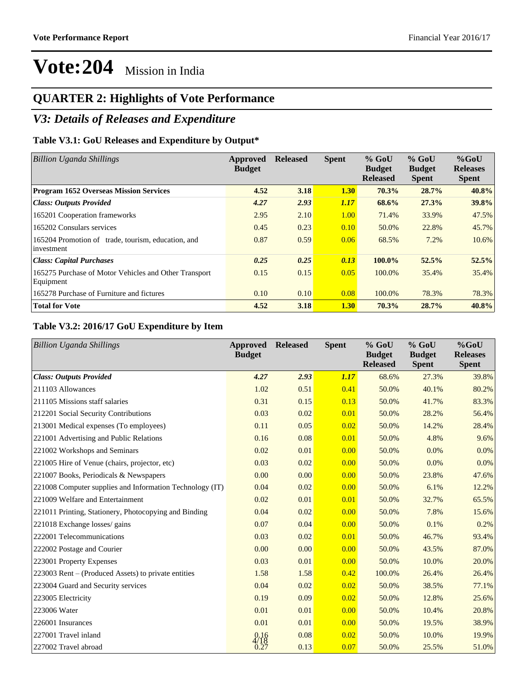### **QUARTER 2: Highlights of Vote Performance**

### *V3: Details of Releases and Expenditure*

#### **Table V3.1: GoU Releases and Expenditure by Output\***

| <b>Billion Uganda Shillings</b>                                    | Approved<br><b>Budget</b> | <b>Released</b> | <b>Spent</b> | $%$ GoU<br><b>Budget</b><br><b>Released</b> | $%$ GoU<br><b>Budget</b><br><b>Spent</b> | $%$ GoU<br><b>Releases</b><br><b>Spent</b> |
|--------------------------------------------------------------------|---------------------------|-----------------|--------------|---------------------------------------------|------------------------------------------|--------------------------------------------|
| <b>Program 1652 Overseas Mission Services</b>                      | 4.52                      | 3.18            | 1.30         | 70.3%                                       | 28.7%                                    | 40.8%                                      |
| <b>Class: Outputs Provided</b>                                     | 4.27                      | 2.93            | 1.17         | 68.6%                                       | 27.3%                                    | 39.8%                                      |
| 165201 Cooperation frameworks                                      | 2.95                      | 2.10            | 1.00         | 71.4%                                       | 33.9%                                    | 47.5%                                      |
| 165202 Consulars services                                          | 0.45                      | 0.23            | 0.10         | 50.0%                                       | 22.8%                                    | 45.7%                                      |
| 165204 Promotion of trade, tourism, education, and<br>investment   | 0.87                      | 0.59            | 0.06         | 68.5%                                       | 7.2%                                     | 10.6%                                      |
| <b>Class: Capital Purchases</b>                                    | 0.25                      | 0.25            | 0.13         | 100.0%                                      | 52.5%                                    | 52.5%                                      |
| 165275 Purchase of Motor Vehicles and Other Transport<br>Equipment | 0.15                      | 0.15            | 0.05         | 100.0%                                      | 35.4%                                    | 35.4%                                      |
| 165278 Purchase of Furniture and fictures                          | 0.10                      | 0.10            | 0.08         | 100.0%                                      | 78.3%                                    | 78.3%                                      |
| <b>Total for Vote</b>                                              | 4.52                      | 3.18            | 1.30         | 70.3%                                       | 28.7%                                    | 40.8%                                      |

#### **Table V3.2: 2016/17 GoU Expenditure by Item**

| <b>Billion Uganda Shillings</b>                          | Approved<br><b>Budget</b> | <b>Released</b> | <b>Spent</b> | $%$ GoU<br><b>Budget</b><br><b>Released</b> | $%$ GoU<br><b>Budget</b><br><b>Spent</b> | $%$ GoU<br><b>Releases</b><br><b>Spent</b> |
|----------------------------------------------------------|---------------------------|-----------------|--------------|---------------------------------------------|------------------------------------------|--------------------------------------------|
| <b>Class: Outputs Provided</b>                           | 4.27                      | 2.93            | 1.17         | 68.6%                                       | 27.3%                                    | 39.8%                                      |
| 211103 Allowances                                        | 1.02                      | 0.51            | 0.41         | 50.0%                                       | 40.1%                                    | 80.2%                                      |
| 211105 Missions staff salaries                           | 0.31                      | 0.15            | 0.13         | 50.0%                                       | 41.7%                                    | 83.3%                                      |
| 212201 Social Security Contributions                     | 0.03                      | 0.02            | 0.01         | 50.0%                                       | 28.2%                                    | 56.4%                                      |
| 213001 Medical expenses (To employees)                   | 0.11                      | 0.05            | 0.02         | 50.0%                                       | 14.2%                                    | 28.4%                                      |
| 221001 Advertising and Public Relations                  | 0.16                      | 0.08            | 0.01         | 50.0%                                       | 4.8%                                     | 9.6%                                       |
| 221002 Workshops and Seminars                            | 0.02                      | 0.01            | 0.00         | 50.0%                                       | 0.0%                                     | 0.0%                                       |
| 221005 Hire of Venue (chairs, projector, etc)            | 0.03                      | 0.02            | 0.00         | 50.0%                                       | 0.0%                                     | 0.0%                                       |
| 221007 Books, Periodicals & Newspapers                   | 0.00                      | 0.00            | 0.00         | 50.0%                                       | 23.8%                                    | 47.6%                                      |
| 221008 Computer supplies and Information Technology (IT) | 0.04                      | 0.02            | 0.00         | 50.0%                                       | 6.1%                                     | 12.2%                                      |
| 221009 Welfare and Entertainment                         | 0.02                      | 0.01            | 0.01         | 50.0%                                       | 32.7%                                    | 65.5%                                      |
| 221011 Printing, Stationery, Photocopying and Binding    | 0.04                      | 0.02            | 0.00         | 50.0%                                       | 7.8%                                     | 15.6%                                      |
| 221018 Exchange losses/ gains                            | 0.07                      | 0.04            | 0.00         | 50.0%                                       | 0.1%                                     | 0.2%                                       |
| 222001 Telecommunications                                | 0.03                      | 0.02            | 0.01         | 50.0%                                       | 46.7%                                    | 93.4%                                      |
| 222002 Postage and Courier                               | 0.00                      | 0.00            | 0.00         | 50.0%                                       | 43.5%                                    | 87.0%                                      |
| 223001 Property Expenses                                 | 0.03                      | 0.01            | 0.00         | 50.0%                                       | 10.0%                                    | 20.0%                                      |
| 223003 Rent – (Produced Assets) to private entities      | 1.58                      | 1.58            | 0.42         | 100.0%                                      | 26.4%                                    | 26.4%                                      |
| 223004 Guard and Security services                       | 0.04                      | 0.02            | 0.02         | 50.0%                                       | 38.5%                                    | 77.1%                                      |
| 223005 Electricity                                       | 0.19                      | 0.09            | 0.02         | 50.0%                                       | 12.8%                                    | 25.6%                                      |
| 223006 Water                                             | 0.01                      | 0.01            | 0.00         | 50.0%                                       | 10.4%                                    | 20.8%                                      |
| 226001 Insurances                                        | 0.01                      | 0.01            | 0.00         | 50.0%                                       | 19.5%                                    | 38.9%                                      |
| 227001 Travel inland                                     | $\frac{0.16}{4/18}$       | 0.08            | 0.02         | 50.0%                                       | 10.0%                                    | 19.9%                                      |
| 227002 Travel abroad                                     | 0.27                      | 0.13            | 0.07         | 50.0%                                       | 25.5%                                    | 51.0%                                      |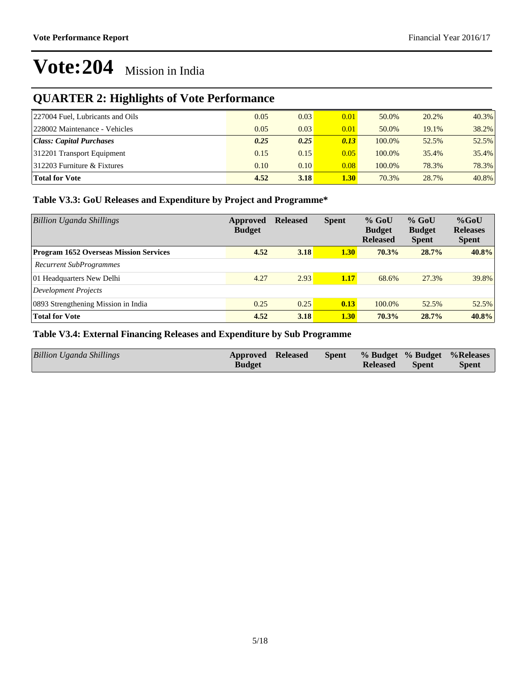### **QUARTER 2: Highlights of Vote Performance**

| 227004 Fuel, Lubricants and Oils | 0.05 | 0.03 | 0.01              | 50.0%  | 20.2% | $40.3\%$ |
|----------------------------------|------|------|-------------------|--------|-------|----------|
| 228002 Maintenance - Vehicles    | 0.05 | 0.03 | 0.01              | 50.0%  | 19.1% | 38.2%    |
| Class: Capital Purchases         | 0.25 | 0.25 | 0.13              | 100.0% | 52.5% | 52.5%    |
| 312201 Transport Equipment       | 0.15 | 0.15 | 0.05              | 100.0% | 35.4% | $35.4\%$ |
| $ 312203$ Furniture & Fixtures   | 0.10 | 0.10 | 0.08              | 100.0% | 78.3% | 78.3%    |
| <b>Total for Vote</b>            | 4.52 | 3.18 | 1.30 <sub>l</sub> | 70.3%  | 28.7% | 40.8%    |

#### **Table V3.3: GoU Releases and Expenditure by Project and Programme\***

| <b>Billion Uganda Shillings</b>               | Approved<br><b>Budget</b> | <b>Released</b> | <b>Spent</b> | $%$ GoU<br><b>Budget</b><br><b>Released</b> | $%$ GoU<br><b>Budget</b><br><b>Spent</b> | $%$ GoU<br><b>Releases</b><br><b>Spent</b> |
|-----------------------------------------------|---------------------------|-----------------|--------------|---------------------------------------------|------------------------------------------|--------------------------------------------|
| <b>Program 1652 Overseas Mission Services</b> | 4.52                      | 3.18            | 1.30         | $70.3\%$                                    | 28.7%                                    | 40.8%                                      |
| <b>Recurrent SubProgrammes</b>                |                           |                 |              |                                             |                                          |                                            |
| 01 Headquarters New Delhi                     | 4.27                      | 2.93            | 1.17         | 68.6%                                       | 27.3%                                    | 39.8%                                      |
| Development Projects                          |                           |                 |              |                                             |                                          |                                            |
| 0893 Strengthening Mission in India           | 0.25                      | 0.25            | 0.13         | 100.0%                                      | 52.5%                                    | 52.5%                                      |
| <b>Total for Vote</b>                         | 4.52                      | 3.18            | 1.30         | 70.3%                                       | 28.7%                                    | 40.8%                                      |

#### **Table V3.4: External Financing Releases and Expenditure by Sub Programme**

| <b>Spent</b><br><b>Spent</b><br><b>Budget</b><br><b>Released</b> | Billion Uganda Shillings | Approved Released |  |  |  |  | Spent % Budget % Budget % Releases |
|------------------------------------------------------------------|--------------------------|-------------------|--|--|--|--|------------------------------------|
|------------------------------------------------------------------|--------------------------|-------------------|--|--|--|--|------------------------------------|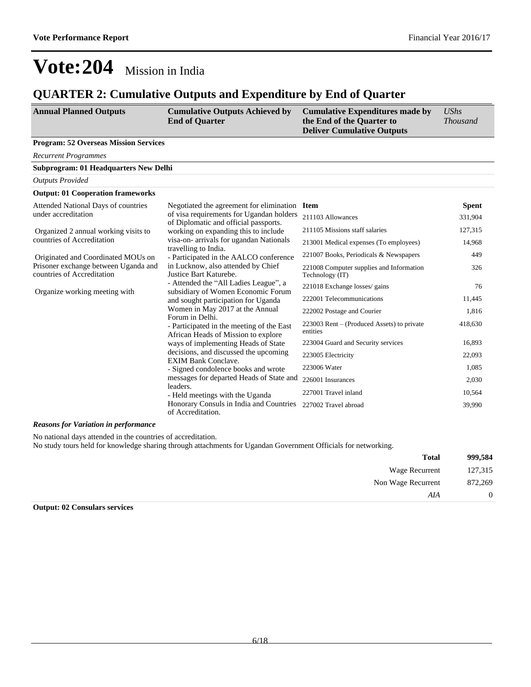### **QUARTER 2: Cumulative Outputs and Expenditure by End of Quarter**

| <b>Annual Planned Outputs</b>                | <b>Cumulative Outputs Achieved by</b><br><b>End of Quarter</b>                                                                                                                                                                                                                                                                                                                                                           | <b>Cumulative Expenditures made by</b><br>the End of the Quarter to<br><b>Deliver Cumulative Outputs</b> | <b>UShs</b><br><i>Thousand</i> |
|----------------------------------------------|--------------------------------------------------------------------------------------------------------------------------------------------------------------------------------------------------------------------------------------------------------------------------------------------------------------------------------------------------------------------------------------------------------------------------|----------------------------------------------------------------------------------------------------------|--------------------------------|
| <b>Program: 52 Overseas Mission Services</b> |                                                                                                                                                                                                                                                                                                                                                                                                                          |                                                                                                          |                                |
| <b>Recurrent Programmes</b>                  |                                                                                                                                                                                                                                                                                                                                                                                                                          |                                                                                                          |                                |
| Subprogram: 01 Headquarters New Delhi        |                                                                                                                                                                                                                                                                                                                                                                                                                          |                                                                                                          |                                |
| <b>Outputs Provided</b>                      |                                                                                                                                                                                                                                                                                                                                                                                                                          |                                                                                                          |                                |
| <b>Output: 01 Cooperation frameworks</b>     |                                                                                                                                                                                                                                                                                                                                                                                                                          |                                                                                                          |                                |
| Attended National Days of countries          | Negotiated the agreement for elimination Item                                                                                                                                                                                                                                                                                                                                                                            |                                                                                                          | <b>Spent</b>                   |
| under accreditation                          | of visa requirements for Ugandan holders 211103 Allowances<br>$\mathcal{C}$ $\mathbb{R}$ $\mathcal{C}$ $\mathcal{C}$ $\mathcal{C}$ $\mathcal{C}$ $\mathcal{C}$ $\mathcal{C}$ $\mathcal{C}$ $\mathcal{C}$ $\mathcal{C}$ $\mathcal{C}$ $\mathcal{C}$ $\mathcal{C}$ $\mathcal{C}$ $\mathcal{C}$ $\mathcal{C}$ $\mathcal{C}$ $\mathcal{C}$ $\mathcal{C}$ $\mathcal{C}$ $\mathcal{C}$ $\mathcal{C}$ $\mathcal{C}$ $\mathcal{$ |                                                                                                          | 331.904                        |

| unuci accicunation                                                 | of visa requirements for egangan honders<br>of Diplomatic and official passports. | 211103 Allowances                                           | 331,904 |
|--------------------------------------------------------------------|-----------------------------------------------------------------------------------|-------------------------------------------------------------|---------|
| Organized 2 annual working visits to                               | working on expanding this to include                                              | 211105 Missions staff salaries                              | 127,315 |
| countries of Accreditation                                         | visa-on- arrivals for ugandan Nationals<br>travelling to India.                   | 213001 Medical expenses (To employees)                      | 14,968  |
| Originated and Coordinated MOUs on                                 | - Participated in the AALCO conference                                            | 221007 Books, Periodicals & Newspapers                      | 449     |
| Prisoner exchange between Uganda and<br>countries of Accreditation | in Lucknow, also attended by Chief<br>Justice Bart Katurebe.                      | 221008 Computer supplies and Information<br>Technology (IT) | 326     |
| Organize working meeting with                                      | - Attended the "All Ladies League", a<br>subsidiary of Women Economic Forum       | 221018 Exchange losses/ gains                               | 76      |
|                                                                    | and sought participation for Uganda                                               | 222001 Telecommunications                                   | 11,445  |
|                                                                    | Women in May 2017 at the Annual<br>Forum in Delhi.                                | 222002 Postage and Courier                                  | 1,816   |
|                                                                    | - Participated in the meeting of the East<br>African Heads of Mission to explore  | 223003 Rent – (Produced Assets) to private<br>entities      | 418,630 |
|                                                                    | ways of implementing Heads of State                                               | 223004 Guard and Security services                          | 16,893  |
|                                                                    | decisions, and discussed the upcoming<br><b>EXIM Bank Conclave.</b>               | 223005 Electricity                                          | 22,093  |
|                                                                    | - Signed condolence books and wrote                                               | 223006 Water                                                | 1,085   |
|                                                                    | messages for departed Heads of State and                                          | 226001 Insurances                                           | 2,030   |
|                                                                    | leaders.<br>- Held meetings with the Uganda                                       | 227001 Travel inland                                        | 10,564  |
|                                                                    | Honorary Consuls in India and Countries<br>of Accreditation.                      | 227002 Travel abroad                                        | 39,990  |

#### *Reasons for Variation in performance*

No national days attended in the countries of accreditation. No study tours held for knowledge sharing through attachments for Ugandan Government Officials for networking.

| 999,584        | <b>Total</b>       |
|----------------|--------------------|
| 127,315        | Wage Recurrent     |
| 872,269        | Non Wage Recurrent |
| $\overline{0}$ | AIA                |

#### **Output: 02 Consulars services**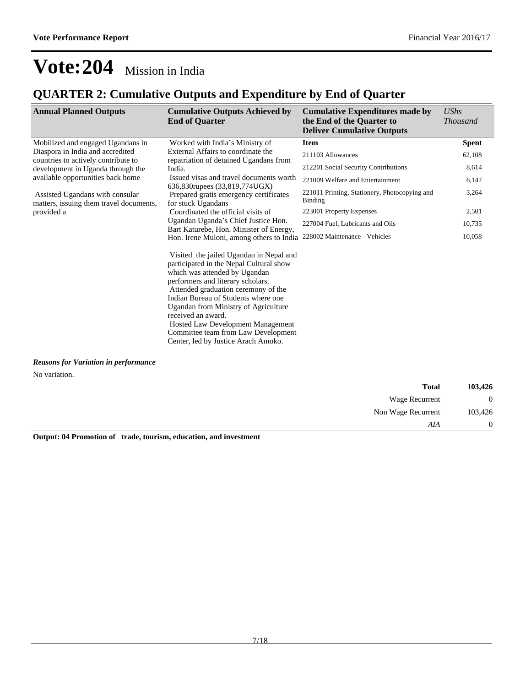### **QUARTER 2: Cumulative Outputs and Expenditure by End of Quarter**

| <b>Annual Planned Outputs</b>                                              | <b>Cumulative Outputs Achieved by</b><br><b>End of Quarter</b>                                                                                                                                                                                                                                                                                                                                                                 | <b>Cumulative Expenditures made by</b><br>the End of the Quarter to<br><b>Deliver Cumulative Outputs</b> | <b>UShs</b><br><b>Thousand</b> |
|----------------------------------------------------------------------------|--------------------------------------------------------------------------------------------------------------------------------------------------------------------------------------------------------------------------------------------------------------------------------------------------------------------------------------------------------------------------------------------------------------------------------|----------------------------------------------------------------------------------------------------------|--------------------------------|
| Mobilized and engaged Ugandans in                                          | Worked with India's Ministry of                                                                                                                                                                                                                                                                                                                                                                                                | <b>Item</b>                                                                                              | <b>Spent</b>                   |
| Diaspora in India and accredited                                           | External Affairs to coordinate the                                                                                                                                                                                                                                                                                                                                                                                             | 211103 Allowances                                                                                        | 62,108                         |
| countries to actively contribute to<br>development in Uganda through the   | repatriation of detained Ugandans from<br>India.                                                                                                                                                                                                                                                                                                                                                                               | 212201 Social Security Contributions                                                                     | 8,614                          |
| available opportunities back home                                          | Issued visas and travel documents worth<br>636,830 rupees (33,819,774 UGX)                                                                                                                                                                                                                                                                                                                                                     | 221009 Welfare and Entertainment                                                                         | 6,147                          |
| Assisted Ugandans with consular<br>matters, issuing them travel documents, | Prepared gratis emergency certificates<br>for stuck Ugandans                                                                                                                                                                                                                                                                                                                                                                   | 221011 Printing, Stationery, Photocopying and<br><b>Binding</b>                                          | 3,264                          |
| provided a                                                                 | Coordinated the official visits of                                                                                                                                                                                                                                                                                                                                                                                             | 223001 Property Expenses                                                                                 | 2,501                          |
|                                                                            | Ugandan Uganda's Chief Justice Hon.<br>Bart Katurebe, Hon. Minister of Energy,                                                                                                                                                                                                                                                                                                                                                 | 227004 Fuel, Lubricants and Oils                                                                         | 10,735                         |
|                                                                            | Hon. Irene Muloni, among others to India                                                                                                                                                                                                                                                                                                                                                                                       | 228002 Maintenance - Vehicles                                                                            | 10,058                         |
|                                                                            | Visited the jailed Ugandan in Nepal and<br>participated in the Nepal Cultural show<br>which was attended by Ugandan<br>performers and literary scholars.<br>Attended graduation ceremony of the<br>Indian Bureau of Students where one<br>Ugandan from Ministry of Agriculture<br>received an award.<br><b>Hosted Law Development Management</b><br>Committee team from Law Development<br>Center, led by Justice Arach Amoko. |                                                                                                          |                                |

*Reasons for Variation in performance*

No variation.

| 103,426          | <b>Total</b>       |  |
|------------------|--------------------|--|
| $\boldsymbol{0}$ | Wage Recurrent     |  |
| 103,426          | Non Wage Recurrent |  |
| $\overline{0}$   | AIA                |  |

**Output: 04 Promotion of trade, tourism, education, and investment**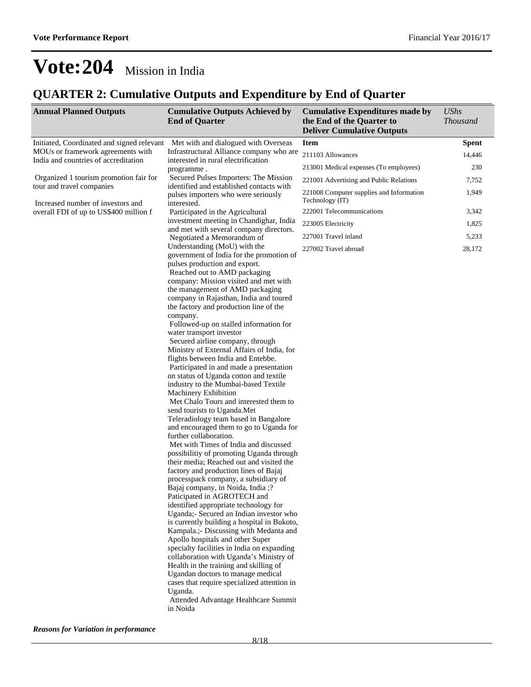### **QUARTER 2: Cumulative Outputs and Expenditure by End of Quarter**

| <b>Annual Planned Outputs</b>                                               | <b>Cumulative Outputs Achieved by</b><br><b>End of Quarter</b>                    | <b>Cumulative Expenditures made by</b><br>the End of the Quarter to<br><b>Deliver Cumulative Outputs</b> | <b>UShs</b><br><b>Thousand</b> |
|-----------------------------------------------------------------------------|-----------------------------------------------------------------------------------|----------------------------------------------------------------------------------------------------------|--------------------------------|
| Initiated, Coordinated and signed relevant                                  | Met with and dialogued with Overseas                                              | <b>Item</b>                                                                                              | <b>Spent</b>                   |
| MOUs or framework agreements with                                           | Infrastructural Alliance company who are                                          | 211103 Allowances                                                                                        | 14,446                         |
| India and countries of accreditation                                        | interested in rural electrification<br>programme.                                 | 213001 Medical expenses (To employees)                                                                   | 230                            |
| Organized 1 tourism promotion fair for                                      | Secured Pulses Importers: The Mission<br>identified and established contacts with | 221001 Advertising and Public Relations                                                                  | 7,752                          |
| tour and travel companies                                                   | pulses importers who were seriously                                               | 221008 Computer supplies and Information<br>Technology (IT)                                              | 1,949                          |
| Increased number of investors and<br>overall FDI of up to US\$400 million f | interested.<br>Participated in the Agricultural                                   | 222001 Telecommunications                                                                                | 3,342                          |
|                                                                             | investment meeting in Chandighar, India                                           | 223005 Electricity                                                                                       | 1,825                          |
|                                                                             | and met with several company directors.                                           | 227001 Travel inland                                                                                     | 5,233                          |
|                                                                             | Negotiated a Memorandum of<br>Understanding (MoU) with the                        | 227002 Travel abroad                                                                                     | 28,172                         |
|                                                                             | government of India for the promotion of                                          |                                                                                                          |                                |
|                                                                             | pulses production and export.<br>Reached out to AMD packaging                     |                                                                                                          |                                |
|                                                                             | company: Mission visited and met with                                             |                                                                                                          |                                |
|                                                                             | the management of AMD packaging                                                   |                                                                                                          |                                |
|                                                                             | company in Rajasthan, India and toured<br>the factory and production line of the  |                                                                                                          |                                |
|                                                                             | company.                                                                          |                                                                                                          |                                |
|                                                                             | Followed-up on stalled information for<br>water transport investor                |                                                                                                          |                                |
|                                                                             | Secured airline company, through                                                  |                                                                                                          |                                |
|                                                                             | Ministry of External Affairs of India, for                                        |                                                                                                          |                                |
|                                                                             | flights between India and Entebbe.<br>Participated in and made a presentation     |                                                                                                          |                                |
|                                                                             | on status of Uganda cotton and textile                                            |                                                                                                          |                                |
|                                                                             | industry to the Mumbai-based Textile                                              |                                                                                                          |                                |
|                                                                             | Machinery Exhibition<br>Met Chalo Tours and interested them to                    |                                                                                                          |                                |
|                                                                             | send tourists to Uganda.Met                                                       |                                                                                                          |                                |
|                                                                             | Teleradiology team based in Bangalore                                             |                                                                                                          |                                |
|                                                                             | and encouraged them to go to Uganda for                                           |                                                                                                          |                                |
|                                                                             | further collaboration.<br>Met with Times of India and discussed                   |                                                                                                          |                                |
|                                                                             | possibilitiy of promoting Uganda through                                          |                                                                                                          |                                |
|                                                                             | their media; Reached out and visited the                                          |                                                                                                          |                                |
|                                                                             | factory and production lines of Bajaj<br>processpack company, a subsidiary of     |                                                                                                          |                                |
|                                                                             | Bajaj company, in Noida, India ;?                                                 |                                                                                                          |                                |
|                                                                             | Paticipated in AGROTECH and                                                       |                                                                                                          |                                |
|                                                                             | identified appropriate technology for<br>Uganda;- Secured an Indian investor who  |                                                                                                          |                                |
|                                                                             | is currently building a hospital in Bukoto,                                       |                                                                                                          |                                |
|                                                                             | Kampala.; Discussing with Medanta and                                             |                                                                                                          |                                |
|                                                                             | Apollo hospitals and other Super<br>specialty facilities in India on expanding    |                                                                                                          |                                |
|                                                                             | collaboration with Uganda's Ministry of                                           |                                                                                                          |                                |
|                                                                             | Health in the training and skilling of                                            |                                                                                                          |                                |
|                                                                             | Ugandan doctors to manage medical                                                 |                                                                                                          |                                |
|                                                                             | cases that require specialized attention in<br>Uganda.                            |                                                                                                          |                                |
|                                                                             | Attended Advantage Healthcare Summit                                              |                                                                                                          |                                |
|                                                                             | in Noida                                                                          |                                                                                                          |                                |

*Reasons for Variation in performance*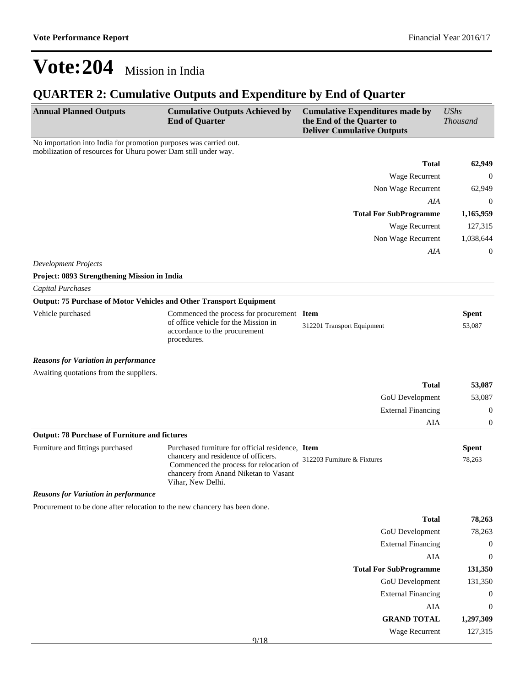### **QUARTER 2: Cumulative Outputs and Expenditure by End of Quarter**

| <b>Annual Planned Outputs</b>                                                                                                       | <b>Cumulative Outputs Achieved by</b><br><b>End of Quarter</b>                                                                                                                                   | <b>Cumulative Expenditures made by</b><br>the End of the Quarter to<br><b>Deliver Cumulative Outputs</b> | <b>UShs</b><br><b>Thousand</b> |
|-------------------------------------------------------------------------------------------------------------------------------------|--------------------------------------------------------------------------------------------------------------------------------------------------------------------------------------------------|----------------------------------------------------------------------------------------------------------|--------------------------------|
| No importation into India for promotion purposes was carried out.<br>mobilization of resources for Uhuru power Dam still under way. |                                                                                                                                                                                                  |                                                                                                          |                                |
|                                                                                                                                     |                                                                                                                                                                                                  | <b>Total</b>                                                                                             | 62,949                         |
|                                                                                                                                     |                                                                                                                                                                                                  | Wage Recurrent                                                                                           | $\theta$                       |
|                                                                                                                                     |                                                                                                                                                                                                  | Non Wage Recurrent                                                                                       | 62,949                         |
|                                                                                                                                     |                                                                                                                                                                                                  | AIA                                                                                                      | $\mathbf{0}$                   |
|                                                                                                                                     |                                                                                                                                                                                                  | <b>Total For SubProgramme</b>                                                                            | 1,165,959                      |
|                                                                                                                                     |                                                                                                                                                                                                  | Wage Recurrent                                                                                           | 127,315                        |
|                                                                                                                                     |                                                                                                                                                                                                  | Non Wage Recurrent                                                                                       | 1,038,644                      |
|                                                                                                                                     |                                                                                                                                                                                                  | AIA                                                                                                      | $\mathbf{0}$                   |
| <b>Development Projects</b>                                                                                                         |                                                                                                                                                                                                  |                                                                                                          |                                |
| Project: 0893 Strengthening Mission in India                                                                                        |                                                                                                                                                                                                  |                                                                                                          |                                |
| <b>Capital Purchases</b>                                                                                                            |                                                                                                                                                                                                  |                                                                                                          |                                |
|                                                                                                                                     | <b>Output: 75 Purchase of Motor Vehicles and Other Transport Equipment</b>                                                                                                                       |                                                                                                          |                                |
| Vehicle purchased                                                                                                                   | Commenced the process for procurement Item                                                                                                                                                       |                                                                                                          | <b>Spent</b>                   |
|                                                                                                                                     | of office vehicle for the Mission in<br>accordance to the procurement<br>procedures.                                                                                                             | 312201 Transport Equipment                                                                               | 53,087                         |
| <b>Reasons for Variation in performance</b>                                                                                         |                                                                                                                                                                                                  |                                                                                                          |                                |
| Awaiting quotations from the suppliers.                                                                                             |                                                                                                                                                                                                  |                                                                                                          |                                |
|                                                                                                                                     |                                                                                                                                                                                                  | <b>Total</b>                                                                                             | 53,087                         |
|                                                                                                                                     |                                                                                                                                                                                                  | GoU Development                                                                                          | 53,087                         |
|                                                                                                                                     |                                                                                                                                                                                                  | <b>External Financing</b>                                                                                | $\boldsymbol{0}$               |
|                                                                                                                                     |                                                                                                                                                                                                  | <b>AIA</b>                                                                                               | $\boldsymbol{0}$               |
| <b>Output: 78 Purchase of Furniture and fictures</b>                                                                                |                                                                                                                                                                                                  |                                                                                                          |                                |
| Furniture and fittings purchased                                                                                                    | Purchased furniture for official residence, Item<br>chancery and residence of officers.<br>Commenced the process for relocation of<br>chancery from Anand Niketan to Vasant<br>Vihar, New Delhi. | 312203 Furniture & Fixtures                                                                              | <b>Spent</b><br>78,263         |
| <b>Reasons for Variation in performance</b>                                                                                         |                                                                                                                                                                                                  |                                                                                                          |                                |
| Procurement to be done after relocation to the new chancery has been done.                                                          |                                                                                                                                                                                                  |                                                                                                          |                                |
|                                                                                                                                     |                                                                                                                                                                                                  | <b>Total</b>                                                                                             | 78,263                         |
|                                                                                                                                     |                                                                                                                                                                                                  | GoU Development                                                                                          | 78,263                         |
|                                                                                                                                     |                                                                                                                                                                                                  | <b>External Financing</b>                                                                                | $\boldsymbol{0}$               |
|                                                                                                                                     |                                                                                                                                                                                                  | AIA                                                                                                      | $\boldsymbol{0}$               |
|                                                                                                                                     |                                                                                                                                                                                                  | <b>Total For SubProgramme</b>                                                                            | 131,350                        |
|                                                                                                                                     |                                                                                                                                                                                                  | GoU Development                                                                                          | 131,350                        |
|                                                                                                                                     |                                                                                                                                                                                                  | <b>External Financing</b>                                                                                | $\boldsymbol{0}$               |
|                                                                                                                                     |                                                                                                                                                                                                  | AIA                                                                                                      | $\boldsymbol{0}$               |
|                                                                                                                                     |                                                                                                                                                                                                  | <b>GRAND TOTAL</b>                                                                                       | 1,297,309                      |
|                                                                                                                                     | 9/18                                                                                                                                                                                             | Wage Recurrent                                                                                           | 127,315                        |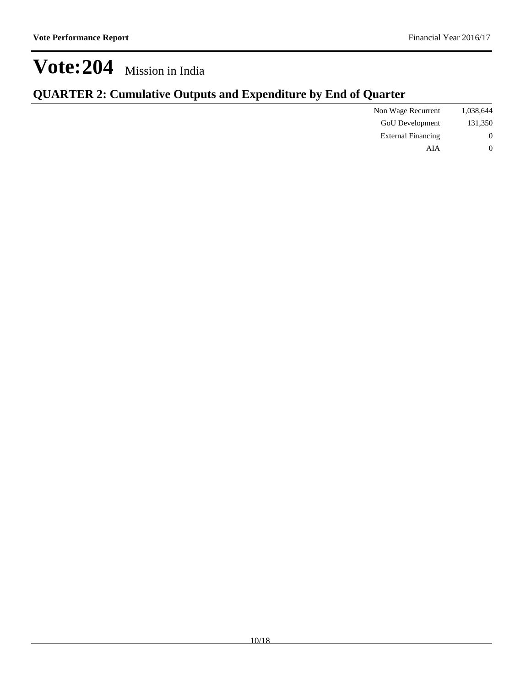| Non Wage Recurrent        |
|---------------------------|
| GoU Development           |
| <b>External Financing</b> |
| AIA                       |
|                           |

### **QUARTER 2: Cumulative Outputs and Expenditure by End of Quarter**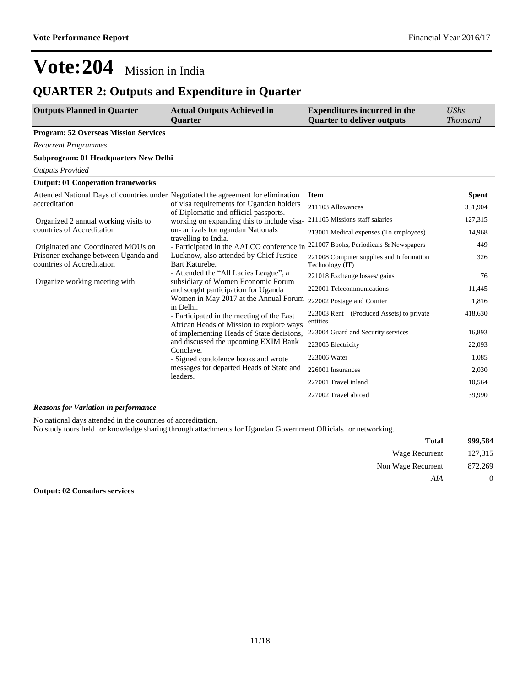### **QUARTER 2: Outputs and Expenditure in Quarter**

| <b>Outputs Planned in Quarter</b>                                                  | <b>Actual Outputs Achieved in</b><br><b>Quarter</b>                                                                                                                                      | <b>Expenditures incurred in the</b><br><b>Quarter to deliver outputs</b> | <b>UShs</b><br><b>Thousand</b> |
|------------------------------------------------------------------------------------|------------------------------------------------------------------------------------------------------------------------------------------------------------------------------------------|--------------------------------------------------------------------------|--------------------------------|
| <b>Program: 52 Overseas Mission Services</b>                                       |                                                                                                                                                                                          |                                                                          |                                |
| <b>Recurrent Programmes</b>                                                        |                                                                                                                                                                                          |                                                                          |                                |
| <b>Subprogram: 01 Headquarters New Delhi</b>                                       |                                                                                                                                                                                          |                                                                          |                                |
| <b>Outputs Provided</b>                                                            |                                                                                                                                                                                          |                                                                          |                                |
| <b>Output: 01 Cooperation frameworks</b>                                           |                                                                                                                                                                                          |                                                                          |                                |
| Attended National Days of countries under Negotiated the agreement for elimination |                                                                                                                                                                                          | <b>Item</b>                                                              | <b>Spent</b>                   |
| accreditation                                                                      | of visa requirements for Ugandan holders<br>of Diplomatic and official passports.                                                                                                        | 211103 Allowances                                                        | 331,904                        |
| Organized 2 annual working visits to                                               | working on expanding this to include visa-                                                                                                                                               | 211105 Missions staff salaries                                           | 127,315                        |
| countries of Accreditation                                                         | on- arrivals for ugandan Nationals                                                                                                                                                       | 213001 Medical expenses (To employees)                                   | 14,968                         |
| Originated and Coordinated MOUs on                                                 | travelling to India.<br>- Participated in the AALCO conference in                                                                                                                        | 221007 Books, Periodicals & Newspapers                                   | 449                            |
| Prisoner exchange between Uganda and<br>countries of Accreditation                 | Lucknow, also attended by Chief Justice<br>Bart Katurebe.                                                                                                                                | 221008 Computer supplies and Information<br>Technology (IT)              | 326                            |
| Organize working meeting with                                                      | - Attended the "All Ladies League", a<br>subsidiary of Women Economic Forum                                                                                                              | 221018 Exchange losses/ gains                                            | 76                             |
|                                                                                    | and sought participation for Uganda                                                                                                                                                      | 222001 Telecommunications                                                | 11,445                         |
|                                                                                    | Women in May 2017 at the Annual Forum<br>in Delhi.<br>- Participated in the meeting of the East<br>African Heads of Mission to explore ways<br>of implementing Heads of State decisions, | 222002 Postage and Courier                                               | 1,816                          |
|                                                                                    |                                                                                                                                                                                          | 223003 Rent – (Produced Assets) to private<br>entities                   | 418,630                        |
|                                                                                    |                                                                                                                                                                                          | 223004 Guard and Security services                                       | 16,893                         |
|                                                                                    | and discussed the upcoming EXIM Bank                                                                                                                                                     | 223005 Electricity                                                       | 22,093                         |
|                                                                                    | Conclave.<br>- Signed condolence books and wrote<br>messages for departed Heads of State and<br>leaders.                                                                                 | 223006 Water                                                             | 1,085                          |
|                                                                                    |                                                                                                                                                                                          | 226001 Insurances                                                        | 2,030                          |
|                                                                                    |                                                                                                                                                                                          | 227001 Travel inland                                                     | 10,564                         |
|                                                                                    |                                                                                                                                                                                          | 227002 Travel abroad                                                     | 39,990                         |

#### *Reasons for Variation in performance*

No national days attended in the countries of accreditation. No study tours held for knowledge sharing through attachments for Ugandan Government Officials for networking.

| 999,584        | <b>Total</b>       |
|----------------|--------------------|
| 127,315        | Wage Recurrent     |
| 872,269        | Non Wage Recurrent |
| $\overline{0}$ | AIA                |
|                |                    |

**Output: 02 Consulars services**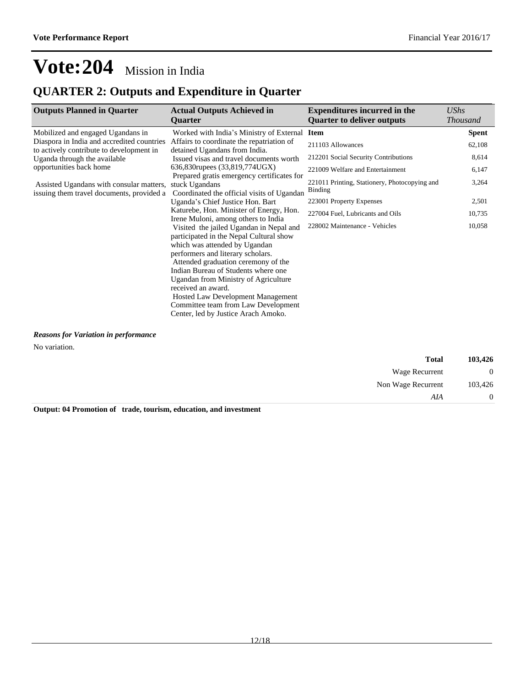## **QUARTER 2: Outputs and Expenditure in Quarter**

| <b>Outputs Planned in Quarter</b>          | <b>Actual Outputs Achieved in</b>             | <b>Expenditures incurred in the</b>                      | UShs            |
|--------------------------------------------|-----------------------------------------------|----------------------------------------------------------|-----------------|
|                                            | <b>Ouarter</b>                                | <b>Ouarter to deliver outputs</b>                        | <b>Thousand</b> |
| Mobilized and engaged Ugandans in          | Worked with India's Ministry of External Item |                                                          | <b>Spent</b>    |
| Diaspora in India and accredited countries | Affairs to coordinate the repatriation of     | 211103 Allowances                                        | 62,108          |
| to actively contribute to development in   | detained Ugandans from India.                 |                                                          |                 |
| Uganda through the available               | Issued visas and travel documents worth       | 212201 Social Security Contributions                     | 8,614           |
| opportunities back home                    | 636,830 rupees (33,819,774 UGX)               | 221009 Welfare and Entertainment                         | 6,147           |
|                                            | Prepared gratis emergency certificates for    |                                                          |                 |
| Assisted Ugandans with consular matters,   | stuck Ugandans                                | 221011 Printing, Stationery, Photocopying and<br>Binding | 3,264           |
| issuing them travel documents, provided a  | Coordinated the official visits of Ugandan    |                                                          |                 |
|                                            | Uganda's Chief Justice Hon. Bart              | 223001 Property Expenses                                 | 2,501           |
|                                            | Katurebe, Hon. Minister of Energy, Hon.       | 227004 Fuel, Lubricants and Oils                         | 10,735          |
|                                            | Irene Muloni, among others to India           | 228002 Maintenance - Vehicles                            | 10,058          |
|                                            | Visited the jailed Ugandan in Nepal and       |                                                          |                 |
|                                            | participated in the Nepal Cultural show       |                                                          |                 |
|                                            | which was attended by Ugandan                 |                                                          |                 |
|                                            | performers and literary scholars.             |                                                          |                 |
|                                            | Attended graduation ceremony of the           |                                                          |                 |
|                                            | Indian Bureau of Students where one           |                                                          |                 |
|                                            | Ugandan from Ministry of Agriculture          |                                                          |                 |
|                                            | received an award.                            |                                                          |                 |
|                                            | <b>Hosted Law Development Management</b>      |                                                          |                 |
|                                            | Committee team from Law Development           |                                                          |                 |
|                                            | Center, led by Justice Arach Amoko.           |                                                          |                 |

*Reasons for Variation in performance*

No variation.

| 103,426 | <b>Total</b>       |
|---------|--------------------|
| ∪       | Wage Recurrent     |
| 103,426 | Non Wage Recurrent |
|         | AIA                |

**Output: 04 Promotion of trade, tourism, education, and investment**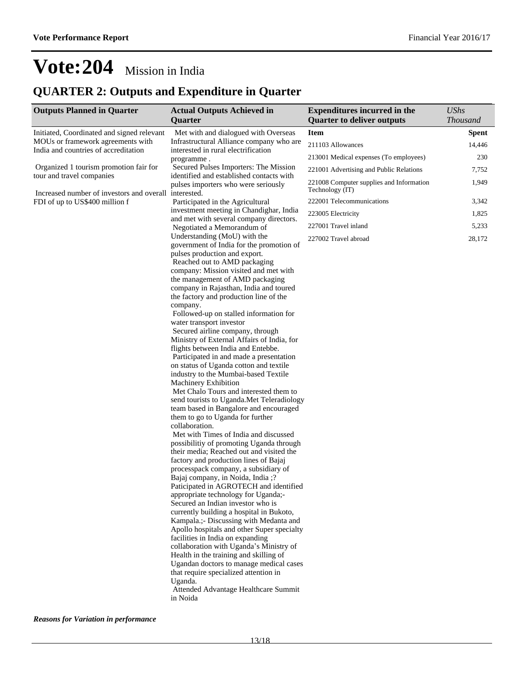### **QUARTER 2: Outputs and Expenditure in Quarter**

| <b>Outputs Planned in Quarter</b>                                                  | <b>Actual Outputs Achieved in</b><br>Quarter                                    | <b>Expenditures incurred in the</b><br><b>Quarter to deliver outputs</b> | <b>UShs</b><br><b>Thousand</b> |
|------------------------------------------------------------------------------------|---------------------------------------------------------------------------------|--------------------------------------------------------------------------|--------------------------------|
| Initiated, Coordinated and signed relevant                                         | Met with and dialogued with Overseas                                            | <b>Item</b>                                                              | <b>Spent</b>                   |
| MOUs or framework agreements with<br>India and countries of accreditation          | Infrastructural Alliance company who are<br>interested in rural electrification | 211103 Allowances                                                        | 14,446                         |
|                                                                                    | programme.                                                                      | 213001 Medical expenses (To employees)                                   | 230                            |
| Organized 1 tourism promotion fair for                                             | Secured Pulses Importers: The Mission                                           | 221001 Advertising and Public Relations                                  | 7,752                          |
| tour and travel companies<br>Increased number of investors and overall interested. | identified and established contacts with<br>pulses importers who were seriously | 221008 Computer supplies and Information<br>Technology (IT)              | 1,949                          |
| FDI of up to US\$400 million f                                                     | Participated in the Agricultural                                                | 222001 Telecommunications                                                | 3,342                          |
|                                                                                    | investment meeting in Chandighar, India                                         | 223005 Electricity                                                       | 1,825                          |
|                                                                                    | and met with several company directors.<br>Negotiated a Memorandum of           | 227001 Travel inland                                                     | 5,233                          |
|                                                                                    | Understanding (MoU) with the                                                    | 227002 Travel abroad                                                     | 28,172                         |
|                                                                                    | government of India for the promotion of                                        |                                                                          |                                |
|                                                                                    | pulses production and export.<br>Reached out to AMD packaging                   |                                                                          |                                |
|                                                                                    | company: Mission visited and met with                                           |                                                                          |                                |
|                                                                                    | the management of AMD packaging                                                 |                                                                          |                                |
|                                                                                    | company in Rajasthan, India and toured                                          |                                                                          |                                |
|                                                                                    | the factory and production line of the<br>company.                              |                                                                          |                                |
|                                                                                    | Followed-up on stalled information for                                          |                                                                          |                                |
|                                                                                    | water transport investor                                                        |                                                                          |                                |
|                                                                                    | Secured airline company, through                                                |                                                                          |                                |
|                                                                                    | Ministry of External Affairs of India, for                                      |                                                                          |                                |
|                                                                                    | flights between India and Entebbe.<br>Participated in and made a presentation   |                                                                          |                                |
|                                                                                    | on status of Uganda cotton and textile                                          |                                                                          |                                |
|                                                                                    | industry to the Mumbai-based Textile                                            |                                                                          |                                |
|                                                                                    | Machinery Exhibition                                                            |                                                                          |                                |
|                                                                                    | Met Chalo Tours and interested them to                                          |                                                                          |                                |
|                                                                                    | send tourists to Uganda. Met Teleradiology                                      |                                                                          |                                |
|                                                                                    | team based in Bangalore and encouraged                                          |                                                                          |                                |
|                                                                                    | them to go to Uganda for further<br>collaboration.                              |                                                                          |                                |
|                                                                                    | Met with Times of India and discussed                                           |                                                                          |                                |
|                                                                                    | possibilitiy of promoting Uganda through                                        |                                                                          |                                |
|                                                                                    | their media; Reached out and visited the                                        |                                                                          |                                |
|                                                                                    | factory and production lines of Bajaj                                           |                                                                          |                                |
|                                                                                    | processpack company, a subsidiary of                                            |                                                                          |                                |
|                                                                                    | Bajaj company, in Noida, India ;?<br>Paticipated in AGROTECH and identified     |                                                                          |                                |
|                                                                                    | appropriate technology for Uganda;-                                             |                                                                          |                                |
|                                                                                    | Secured an Indian investor who is                                               |                                                                          |                                |
|                                                                                    | currently building a hospital in Bukoto,                                        |                                                                          |                                |
|                                                                                    | Kampala.;- Discussing with Medanta and                                          |                                                                          |                                |
|                                                                                    | Apollo hospitals and other Super specialty                                      |                                                                          |                                |
|                                                                                    | facilities in India on expanding<br>collaboration with Uganda's Ministry of     |                                                                          |                                |
|                                                                                    | Health in the training and skilling of                                          |                                                                          |                                |
|                                                                                    | Ugandan doctors to manage medical cases                                         |                                                                          |                                |
|                                                                                    | that require specialized attention in                                           |                                                                          |                                |
|                                                                                    | Uganda.                                                                         |                                                                          |                                |
|                                                                                    | Attended Advantage Healthcare Summit<br>in Noida                                |                                                                          |                                |

*Reasons for Variation in performance*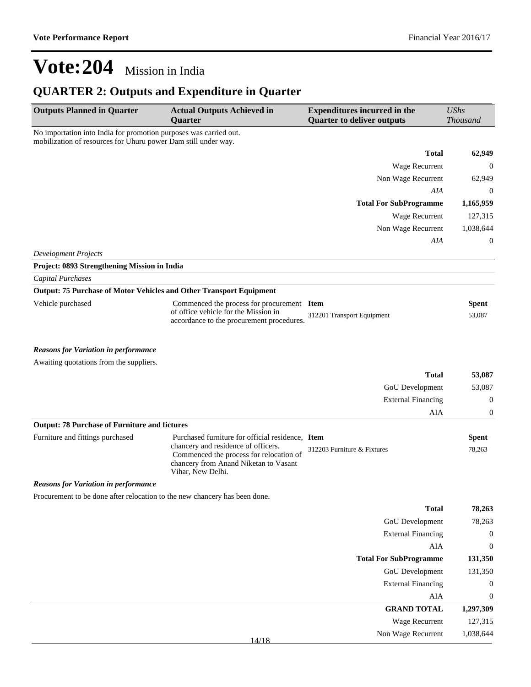### **QUARTER 2: Outputs and Expenditure in Quarter**

| <b>Outputs Planned in Quarter</b>                                                                                                   | <b>Actual Outputs Achieved in</b><br>Quarter                                                                                                                                                     | <b>Expenditures incurred in the</b><br><b>Quarter to deliver outputs</b> | <b>UShs</b><br><b>Thousand</b> |
|-------------------------------------------------------------------------------------------------------------------------------------|--------------------------------------------------------------------------------------------------------------------------------------------------------------------------------------------------|--------------------------------------------------------------------------|--------------------------------|
| No importation into India for promotion purposes was carried out.<br>mobilization of resources for Uhuru power Dam still under way. |                                                                                                                                                                                                  |                                                                          |                                |
|                                                                                                                                     |                                                                                                                                                                                                  | <b>Total</b>                                                             | 62,949                         |
|                                                                                                                                     |                                                                                                                                                                                                  | Wage Recurrent                                                           | $\mathbf 0$                    |
|                                                                                                                                     |                                                                                                                                                                                                  | Non Wage Recurrent                                                       | 62,949                         |
|                                                                                                                                     |                                                                                                                                                                                                  | AIA                                                                      | $\mathbf 0$                    |
|                                                                                                                                     |                                                                                                                                                                                                  | <b>Total For SubProgramme</b>                                            | 1,165,959                      |
|                                                                                                                                     |                                                                                                                                                                                                  | Wage Recurrent                                                           | 127,315                        |
|                                                                                                                                     |                                                                                                                                                                                                  | Non Wage Recurrent                                                       | 1,038,644                      |
|                                                                                                                                     |                                                                                                                                                                                                  | AIA                                                                      | $\mathbf{0}$                   |
| <b>Development Projects</b>                                                                                                         |                                                                                                                                                                                                  |                                                                          |                                |
| Project: 0893 Strengthening Mission in India                                                                                        |                                                                                                                                                                                                  |                                                                          |                                |
| <b>Capital Purchases</b>                                                                                                            |                                                                                                                                                                                                  |                                                                          |                                |
| Output: 75 Purchase of Motor Vehicles and Other Transport Equipment                                                                 |                                                                                                                                                                                                  |                                                                          |                                |
| Vehicle purchased                                                                                                                   | Commenced the process for procurement Item<br>of office vehicle for the Mission in<br>accordance to the procurement procedures.                                                                  | 312201 Transport Equipment                                               | <b>Spent</b><br>53,087         |
| <b>Reasons for Variation in performance</b>                                                                                         |                                                                                                                                                                                                  |                                                                          |                                |
| Awaiting quotations from the suppliers.                                                                                             |                                                                                                                                                                                                  |                                                                          |                                |
|                                                                                                                                     |                                                                                                                                                                                                  | <b>Total</b>                                                             | 53,087                         |
|                                                                                                                                     |                                                                                                                                                                                                  | GoU Development                                                          | 53,087                         |
|                                                                                                                                     |                                                                                                                                                                                                  | <b>External Financing</b>                                                | $\mathbf 0$                    |
|                                                                                                                                     |                                                                                                                                                                                                  | AIA                                                                      | $\mathbf{0}$                   |
| <b>Output: 78 Purchase of Furniture and fictures</b>                                                                                |                                                                                                                                                                                                  |                                                                          |                                |
| Furniture and fittings purchased                                                                                                    | Purchased furniture for official residence, Item<br>chancery and residence of officers.<br>Commenced the process for relocation of<br>chancery from Anand Niketan to Vasant<br>Vihar, New Delhi. | 312203 Furniture & Fixtures                                              | <b>Spent</b><br>78,263         |
| <b>Reasons for Variation in performance</b>                                                                                         |                                                                                                                                                                                                  |                                                                          |                                |
| Procurement to be done after relocation to the new chancery has been done.                                                          |                                                                                                                                                                                                  |                                                                          |                                |
|                                                                                                                                     |                                                                                                                                                                                                  | <b>Total</b>                                                             | 78,263                         |
|                                                                                                                                     |                                                                                                                                                                                                  | GoU Development                                                          | 78,263                         |
|                                                                                                                                     |                                                                                                                                                                                                  | <b>External Financing</b>                                                | $\boldsymbol{0}$               |
|                                                                                                                                     |                                                                                                                                                                                                  | ${\rm AIA}$                                                              | $\boldsymbol{0}$               |
|                                                                                                                                     |                                                                                                                                                                                                  | <b>Total For SubProgramme</b>                                            | 131,350                        |
|                                                                                                                                     |                                                                                                                                                                                                  | GoU Development                                                          | 131,350                        |
|                                                                                                                                     |                                                                                                                                                                                                  | <b>External Financing</b>                                                | $\mathbf 0$                    |
|                                                                                                                                     |                                                                                                                                                                                                  | ${\rm AIA}$                                                              | $\boldsymbol{0}$               |
|                                                                                                                                     |                                                                                                                                                                                                  | <b>GRAND TOTAL</b>                                                       | 1,297,309                      |
|                                                                                                                                     |                                                                                                                                                                                                  | Wage Recurrent                                                           | 127,315                        |
|                                                                                                                                     | 14/18                                                                                                                                                                                            | Non Wage Recurrent                                                       | 1,038,644                      |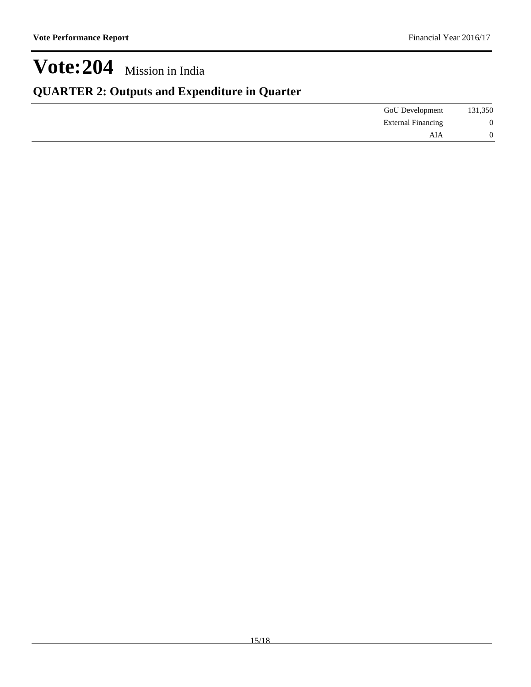### **QUARTER 2: Outputs and Expenditure in Quarter**

| 131,350        | <b>GoU</b> Development    |
|----------------|---------------------------|
| $\overline{0}$ | <b>External Financing</b> |
| 0              | AIA                       |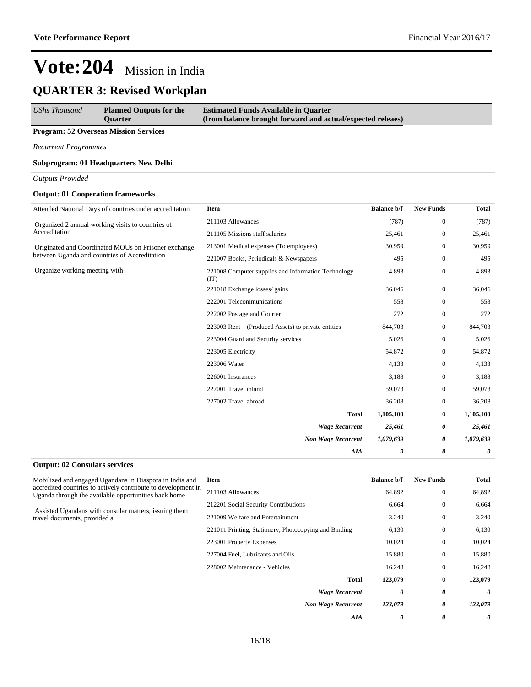### **QUARTER 3: Revised Workplan**

| <b>UShs Thousand</b> | <b>Planned Outputs for the</b> | <b>Estimated Funds Available in Quarter</b>                |
|----------------------|--------------------------------|------------------------------------------------------------|
|                      | <b>Ouarter</b>                 | (from balance brought forward and actual/expected releaes) |
|                      |                                |                                                            |

#### **Program: 52 Overseas Mission Services**

*Recurrent Programmes*

#### **Subprogram: 01 Headquarters New Delhi**

#### *Outputs Provided*

#### **Output: 01 Cooperation frameworks**

| Attended National Days of countries under accreditation            | Item                                                        | <b>Balance b/f</b> | <b>New Funds</b> | <b>Total</b> |
|--------------------------------------------------------------------|-------------------------------------------------------------|--------------------|------------------|--------------|
| Organized 2 annual working visits to countries of<br>Accreditation | 211103 Allowances                                           | (787)              | $\boldsymbol{0}$ | (787)        |
|                                                                    | 211105 Missions staff salaries                              | 25,461             | $\boldsymbol{0}$ | 25,461       |
| Originated and Coordinated MOUs on Prisoner exchange               | 213001 Medical expenses (To employees)                      | 30,959             | $\boldsymbol{0}$ | 30,959       |
| between Uganda and countries of Accreditation                      | 221007 Books, Periodicals & Newspapers                      | 495                | $\boldsymbol{0}$ | 495          |
| Organize working meeting with                                      | 221008 Computer supplies and Information Technology<br>(TT) | 4,893              | $\boldsymbol{0}$ | 4,893        |
|                                                                    | 221018 Exchange losses/ gains                               | 36,046             | $\boldsymbol{0}$ | 36,046       |
|                                                                    | 222001 Telecommunications                                   | 558                | $\boldsymbol{0}$ | 558          |
|                                                                    | 222002 Postage and Courier                                  | 272                | $\mathbf{0}$     | 272          |
|                                                                    | 223003 Rent – (Produced Assets) to private entities         | 844,703            | $\boldsymbol{0}$ | 844,703      |
|                                                                    | 223004 Guard and Security services                          | 5,026              | $\boldsymbol{0}$ | 5,026        |
|                                                                    | 223005 Electricity                                          | 54,872             | $\mathbf{0}$     | 54,872       |
|                                                                    | 223006 Water                                                | 4,133              | $\boldsymbol{0}$ | 4,133        |
|                                                                    | 226001 Insurances                                           | 3,188              | $\boldsymbol{0}$ | 3,188        |
|                                                                    | 227001 Travel inland                                        | 59,073             | $\boldsymbol{0}$ | 59,073       |
|                                                                    | 227002 Travel abroad                                        | 36,208             | $\boldsymbol{0}$ | 36,208       |
|                                                                    | <b>Total</b>                                                | 1,105,100          | $\boldsymbol{0}$ | 1,105,100    |
|                                                                    | <b>Wage Recurrent</b>                                       | 25,461             | 0                | 25,461       |
|                                                                    | <b>Non Wage Recurrent</b>                                   | 1,079,639          | 0                | 1,079,639    |
|                                                                    | AIA                                                         | 0                  | 0                | 0            |

#### **Output: 02 Consulars services** Mobilized and engaged Ugandans in Diaspora in India and accredited countries to actively contribute to development in Uganda through the available opportunities back home Assisted Ugandans with consular matters, issuing them travel documents, provided a **Item Balance b/f New Funds Total** 211103 Allowances 64,892 0 64,892 212201 Social Security Contributions 6,664 0 6,664 221009 Welfare and Entertainment 3,240 0 3,240 221011 Printing, Stationery, Photocopying and Binding 6,130 0 6,130 223001 Property Expenses 10,024 0 10,024 227004 Fuel, Lubricants and Oils 15,880 0 15,880 228002 Maintenance - Vehicles 16,248 0 16,248 **Total 123,079** 0 **123,079** *Wage Recurrent 0 0 0 Non Wage Recurrent 123,079 0 123,079 AIA 0 0 0*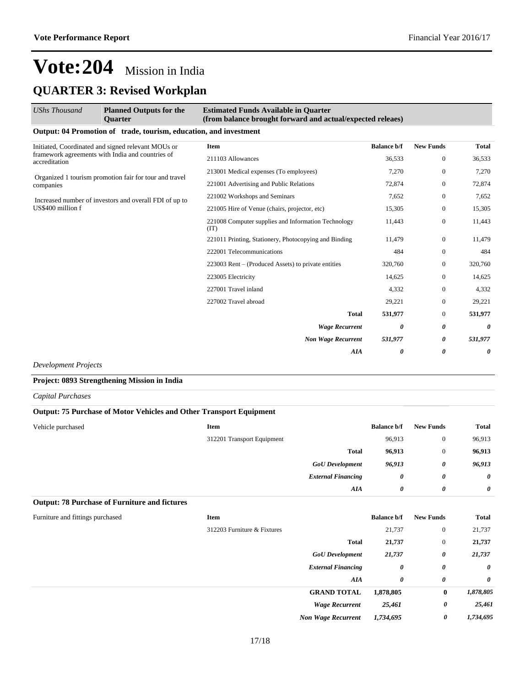## **Vote:204** Mission in India **QUARTER 3: Revised Workplan**

| <b>UShs Thousand</b>                                              | <b>Planned Outputs for the</b><br><b>Ouarter</b>                  | <b>Estimated Funds Available in Quarter</b><br>(from balance brought forward and actual/expected releaes) |                    |                  |              |
|-------------------------------------------------------------------|-------------------------------------------------------------------|-----------------------------------------------------------------------------------------------------------|--------------------|------------------|--------------|
|                                                                   | Output: 04 Promotion of trade, tourism, education, and investment |                                                                                                           |                    |                  |              |
|                                                                   | Initiated, Coordinated and signed relevant MOUs or                | <b>Item</b>                                                                                               | <b>Balance b/f</b> | <b>New Funds</b> | <b>Total</b> |
| framework agreements with India and countries of<br>accreditation | 211103 Allowances                                                 | 36,533                                                                                                    | $\mathbf{0}$       | 36,533           |              |
|                                                                   | Organized 1 tourism promotion fair for tour and travel            | 213001 Medical expenses (To employees)                                                                    | 7,270              | $\mathbf{0}$     | 7,270        |
| companies                                                         |                                                                   | 221001 Advertising and Public Relations                                                                   | 72,874             | $\mathbf{0}$     | 72,874       |
|                                                                   | Increased number of investors and overall FDI of up to            | 221002 Workshops and Seminars                                                                             | 7,652              | $\mathbf{0}$     | 7,652        |
| US\$400 million f                                                 |                                                                   | 221005 Hire of Venue (chairs, projector, etc)                                                             | 15,305             | $\mathbf{0}$     | 15,305       |
|                                                                   |                                                                   | 221008 Computer supplies and Information Technology<br>(IT)                                               | 11,443             | $\boldsymbol{0}$ | 11,443       |
|                                                                   |                                                                   | 221011 Printing, Stationery, Photocopying and Binding                                                     | 11,479             | $\mathbf{0}$     | 11,479       |
|                                                                   |                                                                   | 222001 Telecommunications                                                                                 | 484                | $\mathbf{0}$     | 484          |
|                                                                   |                                                                   | 223003 Rent – (Produced Assets) to private entities                                                       | 320,760            | $\boldsymbol{0}$ | 320,760      |
|                                                                   |                                                                   | 223005 Electricity                                                                                        | 14,625             | $\overline{0}$   | 14,625       |
|                                                                   |                                                                   | 227001 Travel inland                                                                                      | 4,332              | $\mathbf{0}$     | 4,332        |
|                                                                   |                                                                   | 227002 Travel abroad                                                                                      | 29,221             | $\mathbf{0}$     | 29,221       |
|                                                                   |                                                                   | <b>Total</b>                                                                                              | 531,977            | $\mathbf{0}$     | 531,977      |
|                                                                   |                                                                   | <b>Wage Recurrent</b>                                                                                     | 0                  | 0                | 0            |
|                                                                   |                                                                   | <b>Non Wage Recurrent</b>                                                                                 | 531,977            | 0                | 531,977      |
|                                                                   |                                                                   | <b>AIA</b>                                                                                                | 0                  | 0                | 0            |
| $\mathbf{n}$ in the $\mathbf{n}$                                  |                                                                   |                                                                                                           |                    |                  |              |

*Development Projects*

**Project: 0893 Strengthening Mission in India**

*Capital Purchases*

| <b>Output: 75 Purchase of Motor Vehicles and Other Transport Equipment</b> |                             |                           |                    |                  |              |
|----------------------------------------------------------------------------|-----------------------------|---------------------------|--------------------|------------------|--------------|
| Vehicle purchased                                                          | Item                        |                           | <b>Balance b/f</b> | <b>New Funds</b> | Total        |
|                                                                            | 312201 Transport Equipment  |                           | 96,913             | $\boldsymbol{0}$ | 96,913       |
|                                                                            |                             | <b>Total</b>              | 96,913             | $\boldsymbol{0}$ | 96,913       |
|                                                                            |                             | <b>GoU</b> Development    | 96,913             | 0                | 96,913       |
|                                                                            |                             | <b>External Financing</b> | 0                  | 0                | 0            |
|                                                                            |                             | AIA                       | 0                  | 0                | 0            |
| <b>Output: 78 Purchase of Furniture and fictures</b>                       |                             |                           |                    |                  |              |
| Furniture and fittings purchased                                           | Item                        |                           | <b>Balance b/f</b> | <b>New Funds</b> | <b>Total</b> |
|                                                                            | 312203 Furniture & Fixtures |                           | 21,737             | $\boldsymbol{0}$ | 21,737       |
|                                                                            |                             |                           |                    |                  |              |

| <b>Total</b>              | 21,737    | $\boldsymbol{0}$ | 21,737                |
|---------------------------|-----------|------------------|-----------------------|
| <b>GoU</b> Development    | 21,737    | 0                | 21,737                |
| <b>External Financing</b> | 0         | 0                | $\boldsymbol{\theta}$ |
| AIA                       | 0         | 0                | $\boldsymbol{\theta}$ |
| <b>GRAND TOTAL</b>        | 1,878,805 | $\bf{0}$         | 1,878,805             |
| <b>Wage Recurrent</b>     | 25,461    | 0                | 25,461                |
| <b>Non Wage Recurrent</b> | 1,734,695 | 0                | 1,734,695             |